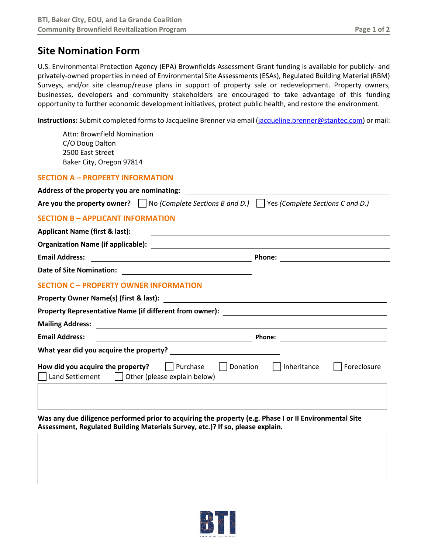# **Site Nomination Form**

U.S. Environmental Protection Agency (EPA) Brownfields Assessment Grant funding is available for publicly- and privately-owned properties in need of Environmental Site Assessments (ESAs), Regulated Building Material (RBM) Surveys, and/or site cleanup/reuse plans in support of property sale or redevelopment. Property owners, businesses, developers and community stakeholders are encouraged to take advantage of this funding opportunity to further economic development initiatives, protect public health, and restore the environment.

**Instructions:** Submit completed forms to Jacqueline Brenner via email [\(jacqueline.brenner@stantec.com\)](mailto:jacqueline.brenner@stantec.com) or mail:

Attn: Brownfield Nomination C/O Doug Dalton 2500 East Street Baker City, Oregon 97814

### **SECTION A – PROPERTY INFORMATION**

**Address of the property you are nominating:**

| Are you the property owner? |  | $\Box$ No (Complete Sections B and D.) $\Box$ Yes (Complete Sections C and D.) |
|-----------------------------|--|--------------------------------------------------------------------------------|
|-----------------------------|--|--------------------------------------------------------------------------------|

# **SECTION B – APPLICANT INFORMATION**

| <b>Applicant Name (first &amp; last):</b> |        |  |
|-------------------------------------------|--------|--|
| <b>Organization Name (if applicable):</b> |        |  |
| <b>Email Address:</b>                     | Phone: |  |
| Date of Site Nomination:                  |        |  |

## **SECTION C – PROPERTY OWNER INFORMATION**

| Property Owner Name(s) (first & last):               |                                                                            |             |  |
|------------------------------------------------------|----------------------------------------------------------------------------|-------------|--|
|                                                      | Property Representative Name (if different from owner):                    |             |  |
| <b>Mailing Address:</b>                              |                                                                            |             |  |
| <b>Email Address:</b>                                | Phone:                                                                     |             |  |
| What year did you acquire the property?              |                                                                            |             |  |
| How did you acquire the property?<br>Land Settlement | Purchase<br>Inheritance<br>Donation<br>$\Box$ Other (please explain below) | Foreclosure |  |
|                                                      |                                                                            |             |  |

**Was any due diligence performed prior to acquiring the property (e.g. Phase I or II Environmental Site Assessment, Regulated Building Materials Survey, etc.)? If so, please explain.**